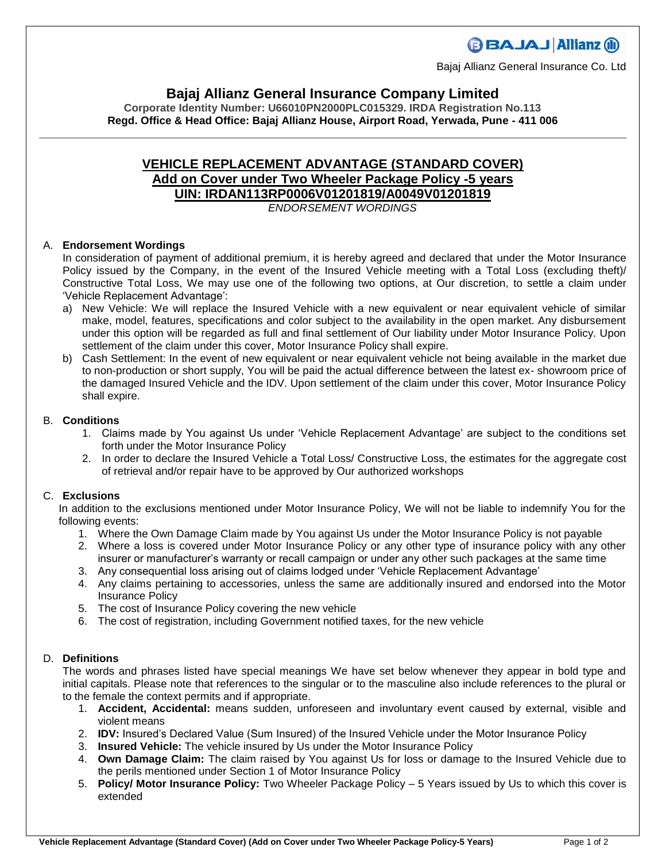# **BBAJAJ Allianz (il)**

Bajaj Allianz General Insurance Co. Ltd

### **Bajaj Allianz General Insurance Company Limited**

**Corporate Identity Number: U66010PN2000PLC015329. IRDA Registration No.113 Regd. Office & Head Office: Bajaj Allianz House, Airport Road, Yerwada, Pune - 411 006**

## **VEHICLE REPLACEMENT ADVANTAGE (STANDARD COVER) Add on Cover under Two Wheeler Package Policy -5 years UIN: IRDAN113RP0006V01201819/A0049V01201819**

#### *ENDORSEMENT WORDINGS*

#### A. **Endorsement Wordings**

In consideration of payment of additional premium, it is hereby agreed and declared that under the Motor Insurance Policy issued by the Company, in the event of the Insured Vehicle meeting with a Total Loss (excluding theft)/ Constructive Total Loss, We may use one of the following two options, at Our discretion, to settle a claim under 'Vehicle Replacement Advantage':

- a) New Vehicle: We will replace the Insured Vehicle with a new equivalent or near equivalent vehicle of similar make, model, features, specifications and color subject to the availability in the open market. Any disbursement under this option will be regarded as full and final settlement of Our liability under Motor Insurance Policy. Upon settlement of the claim under this cover, Motor Insurance Policy shall expire.
- b) Cash Settlement: In the event of new equivalent or near equivalent vehicle not being available in the market due to non-production or short supply, You will be paid the actual difference between the latest ex- showroom price of the damaged Insured Vehicle and the IDV. Upon settlement of the claim under this cover, Motor Insurance Policy shall expire.

#### B. **Conditions**

- 1. Claims made by You against Us under 'Vehicle Replacement Advantage' are subject to the conditions set forth under the Motor Insurance Policy
- 2. In order to declare the Insured Vehicle a Total Loss/ Constructive Loss, the estimates for the aggregate cost of retrieval and/or repair have to be approved by Our authorized workshops

#### C. **Exclusions**

In addition to the exclusions mentioned under Motor Insurance Policy, We will not be liable to indemnify You for the following events:

- 1. Where the Own Damage Claim made by You against Us under the Motor Insurance Policy is not payable
- 2. Where a loss is covered under Motor Insurance Policy or any other type of insurance policy with any other insurer or manufacturer's warranty or recall campaign or under any other such packages at the same time
- 3. Any consequential loss arising out of claims lodged under 'Vehicle Replacement Advantage'
- 4. Any claims pertaining to accessories, unless the same are additionally insured and endorsed into the Motor Insurance Policy
- 5. The cost of Insurance Policy covering the new vehicle
- 6. The cost of registration, including Government notified taxes, for the new vehicle

#### D. **Definitions**

The words and phrases listed have special meanings We have set below whenever they appear in bold type and initial capitals. Please note that references to the singular or to the masculine also include references to the plural or to the female the context permits and if appropriate.

- 1. **Accident, Accidental:** means sudden, unforeseen and involuntary event caused by external, visible and violent means
- 2. **IDV:** Insured's Declared Value (Sum Insured) of the Insured Vehicle under the Motor Insurance Policy
- 3. **Insured Vehicle:** The vehicle insured by Us under the Motor Insurance Policy
- 4. **Own Damage Claim:** The claim raised by You against Us for loss or damage to the Insured Vehicle due to the perils mentioned under Section 1 of Motor Insurance Policy
- 5. **Policy/ Motor Insurance Policy:** Two Wheeler Package Policy 5 Years issued by Us to which this cover is extended